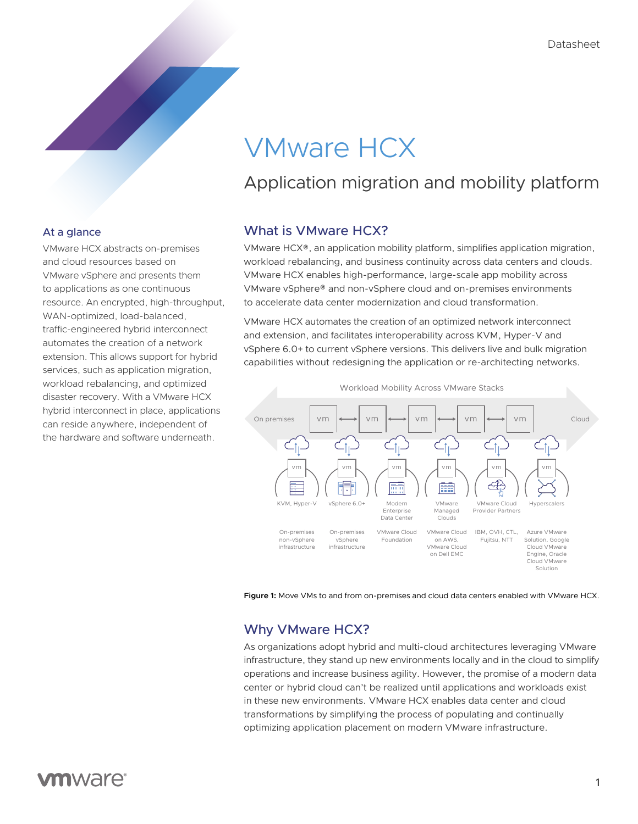# VMware HCX

# Application migration and mobility platform

# What is VMware HCX?

VMware HCX®, an application mobility platform, simplifies application migration, workload rebalancing, and business continuity across data centers and clouds. VMware HCX enables high-performance, large-scale app mobility across VMware vSphere® and non-vSphere cloud and on-premises environments to accelerate data center modernization and cloud transformation.

VMware HCX automates the creation of an optimized network interconnect and extension, and facilitates interoperability across KVM, Hyper-V and vSphere 6.0+ to current vSphere versions. This delivers live and bulk migration capabilities without redesigning the application or re-architecting networks.



**Figure 1:** Move VMs to and from on-premises and cloud data centers enabled with VMware HCX.

# Why VMware HCX?

As organizations adopt hybrid and multi-cloud architectures leveraging VMware infrastructure, they stand up new environments locally and in the cloud to simplify operations and increase business agility. However, the promise of a modern data center or hybrid cloud can't be realized until applications and workloads exist in these new environments. VMware HCX enables data center and cloud transformations by simplifying the process of populating and continually optimizing application placement on modern VMware infrastructure.

## At a glance

VMware HCX abstracts on-premises and cloud resources based on VMware vSphere and presents them to applications as one continuous resource. An encrypted, high-throughput, WAN-optimized, load-balanced, traffic-engineered hybrid interconnect automates the creation of a network extension. This allows support for hybrid services, such as application migration, workload rebalancing, and optimized disaster recovery. With a VMware HCX hybrid interconnect in place, applications can reside anywhere, independent of the hardware and software underneath.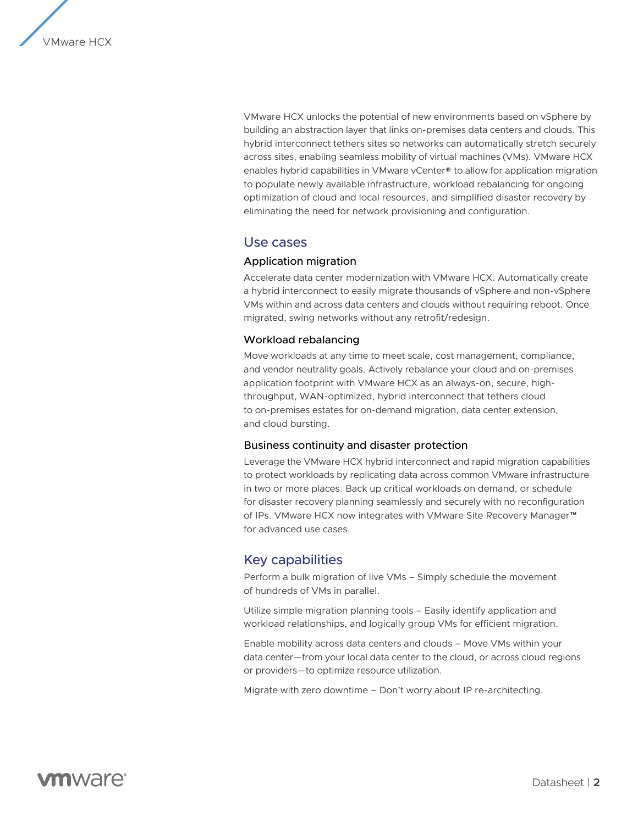

VMware HCX unlocks the potential of new environments based on vSphere by building an abstraction layer that links on-premises data centers and clouds. This hybrid interconnect tethers sites so networks can automatically stretch securely across sites, enabling seamless mobility of virtual machines (VMs). VMware HCX enables hybrid capabilities in VMware vCenter® to allow for application migration to populate newly available infrastructure, workload rebalancing for ongoing optimization of cloud and local resources, and simplified disaster recovery by eliminating the need for network provisioning and configuration.

### Use cases

#### Application migration

Accelerate data center modernization with VMware HCX. Automatically create a hybrid interconnect to easily migrate thousands of vSphere and non-vSphere VMs within and across data centers and clouds without requiring reboot. Once migrated, swing networks without any retrofit/redesign.

#### Workload rebalancing

Move workloads at any time to meet scale, cost management, compliance, and vendor neutrality goals. Actively rebalance your cloud and on-premises application footprint with VMware HCX as an always-on, secure, highthroughput, WAN-optimized, hybrid interconnect that tethers cloud to on-premises estates for on-demand migration, data center extension, and cloud bursting.

#### Business continuity and disaster protection

Leverage the VMware HCX hybrid interconnect and rapid migration capabilities to protect workloads by replicating data across common VMware infrastructure in two or more places. Back up critical workloads on demand, or schedule for disaster recovery planning seamlessly and securely with no reconfiguration of IPs. VMware HCX now integrates with VMware Site Recovery Manager™ for advanced use cases.

# Key capabilities

Perform a bulk migration of live VMs – Simply schedule the movement of hundreds of VMs in parallel.

Utilize simple migration planning tools – Easily identify application and workload relationships, and logically group VMs for efficient migration.

Enable mobility across data centers and clouds – Move VMs within your data center—from your local data center to the cloud, or across cloud regions or providers—to optimize resource utilization.

Migrate with zero downtime – Don't worry about IP re-architecting.